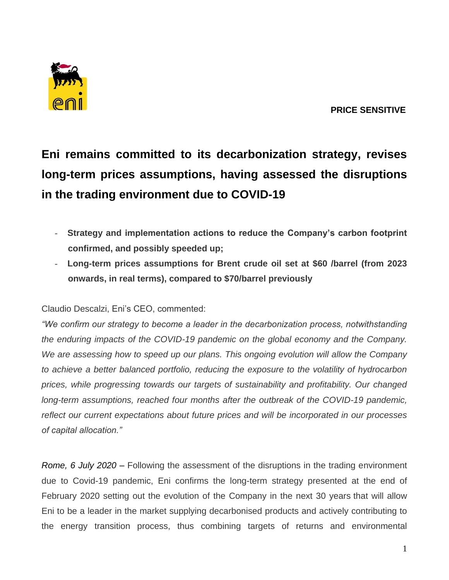

## **Eni remains committed to its decarbonization strategy, revises long-term prices assumptions, having assessed the disruptions in the trading environment due to COVID-19**

- **Strategy and implementation actions to reduce the Company's carbon footprint confirmed, and possibly speeded up;**
- **Long-term prices assumptions for Brent crude oil set at \$60 /barrel (from 2023 onwards, in real terms), compared to \$70/barrel previously**

## Claudio Descalzi, Eni's CEO, commented:

*"We confirm our strategy to become a leader in the decarbonization process, notwithstanding the enduring impacts of the COVID-19 pandemic on the global economy and the Company. We are assessing how to speed up our plans. This ongoing evolution will allow the Company to achieve a better balanced portfolio, reducing the exposure to the volatility of hydrocarbon prices, while progressing towards our targets of sustainability and profitability. Our changed long-term assumptions, reached four months after the outbreak of the COVID-19 pandemic, reflect our current expectations about future prices and will be incorporated in our processes of capital allocation."*

*Rome, 6 July 2020* – Following the assessment of the disruptions in the trading environment due to Covid-19 pandemic, Eni confirms the long-term strategy presented at the end of February 2020 setting out the evolution of the Company in the next 30 years that will allow Eni to be a leader in the market supplying decarbonised products and actively contributing to the energy transition process, thus combining targets of returns and environmental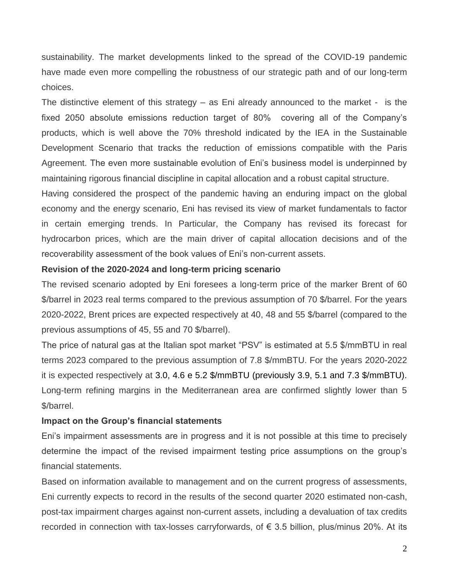sustainability. The market developments linked to the spread of the COVID-19 pandemic have made even more compelling the robustness of our strategic path and of our long-term choices.

The distinctive element of this strategy – as Eni already announced to the market - is the fixed 2050 absolute emissions reduction target of 80% covering all of the Company's products, which is well above the 70% threshold indicated by the IEA in the Sustainable Development Scenario that tracks the reduction of emissions compatible with the Paris Agreement. The even more sustainable evolution of Eni's business model is underpinned by maintaining rigorous financial discipline in capital allocation and a robust capital structure.

Having considered the prospect of the pandemic having an enduring impact on the global economy and the energy scenario, Eni has revised its view of market fundamentals to factor in certain emerging trends. In Particular, the Company has revised its forecast for hydrocarbon prices, which are the main driver of capital allocation decisions and of the recoverability assessment of the book values of Eni's non-current assets.

## **Revision of the 2020-2024 and long-term pricing scenario**

The revised scenario adopted by Eni foresees a long-term price of the marker Brent of 60 \$/barrel in 2023 real terms compared to the previous assumption of 70 \$/barrel. For the years 2020-2022, Brent prices are expected respectively at 40, 48 and 55 \$/barrel (compared to the previous assumptions of 45, 55 and 70 \$/barrel).

The price of natural gas at the Italian spot market "PSV" is estimated at 5.5 \$/mmBTU in real terms 2023 compared to the previous assumption of 7.8 \$/mmBTU. For the years 2020-2022 it is expected respectively at 3.0, 4.6 e 5.2 \$/mmBTU (previously 3.9, 5.1 and 7.3 \$/mmBTU). Long-term refining margins in the Mediterranean area are confirmed slightly lower than 5 \$/barrel.

## **Impact on the Group's financial statements**

Eni's impairment assessments are in progress and it is not possible at this time to precisely determine the impact of the revised impairment testing price assumptions on the group's financial statements.

Based on information available to management and on the current progress of assessments, Eni currently expects to record in the results of the second quarter 2020 estimated non-cash, post-tax impairment charges against non-current assets, including a devaluation of tax credits recorded in connection with tax-losses carryforwards, of  $\epsilon$  3.5 billion, plus/minus 20%. At its